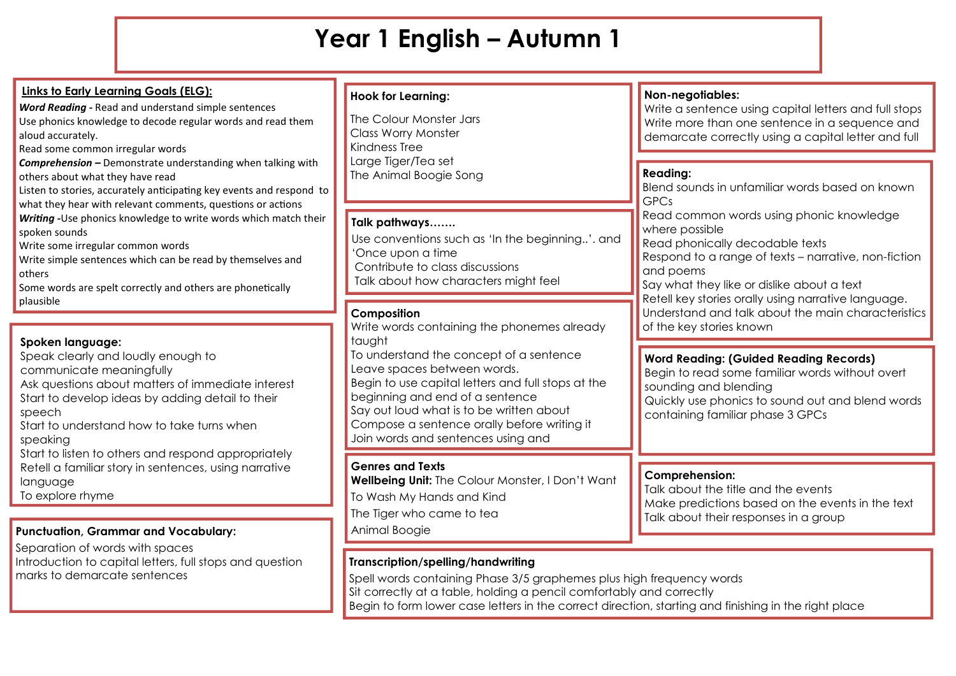# **Year 1 English – Autumn 1**

| <b>Links to Early Learning Goals (ELG):</b><br>Word Reading - Read and understand simple sentences<br>Use phonics knowledge to decode regular words and read them<br>aloud accurately.<br>Read some common irregular words<br>Comprehension - Demonstrate understanding when talking with<br>others about what they have read<br>Listen to stories, accurately anticipating key events and respond to<br>what they hear with relevant comments, questions or actions<br>Writing - Use phonics knowledge to write words which match their<br>spoken sounds<br>Write some irregular common words<br>Write simple sentences which can be read by themselves and<br>others<br>Some words are spelt correctly and others are phonetically<br>plausible | <b>Hook for Learning:</b><br>The Colour Monster Jars<br><b>Class Worry Monster</b><br>Kindness Tree<br>Large Tiger/Tea set<br>The Animal Boogie Song                                                                                                                                                       | Non-negotiables:<br>Write a sentence using capital letters and full stops<br>Write more than one sentence in a sequence and<br>demarcate correctly using a capital letter and full<br><b>Reading:</b><br>Blend sounds in unfamiliar words based on known<br><b>GPCs</b>                                                                                   |
|---------------------------------------------------------------------------------------------------------------------------------------------------------------------------------------------------------------------------------------------------------------------------------------------------------------------------------------------------------------------------------------------------------------------------------------------------------------------------------------------------------------------------------------------------------------------------------------------------------------------------------------------------------------------------------------------------------------------------------------------------|------------------------------------------------------------------------------------------------------------------------------------------------------------------------------------------------------------------------------------------------------------------------------------------------------------|-----------------------------------------------------------------------------------------------------------------------------------------------------------------------------------------------------------------------------------------------------------------------------------------------------------------------------------------------------------|
|                                                                                                                                                                                                                                                                                                                                                                                                                                                                                                                                                                                                                                                                                                                                                   | Talk pathways<br>Use conventions such as 'In the beginning'. and<br>'Once upon a time<br>Contribute to class discussions<br>Talk about how characters might feel                                                                                                                                           | Read common words using phonic knowledge<br>where possible<br>Read phonically decodable texts<br>Respond to a range of texts - narrative, non-fiction<br>and poems<br>Say what they like or dislike about a text<br>Retell key stories orally using narrative language.<br>Understand and talk about the main characteristics<br>of the key stories known |
|                                                                                                                                                                                                                                                                                                                                                                                                                                                                                                                                                                                                                                                                                                                                                   | Composition<br>Write words containing the phonemes already                                                                                                                                                                                                                                                 |                                                                                                                                                                                                                                                                                                                                                           |
| Spoken language:<br>Speak clearly and loudly enough to<br>communicate meaningfully<br>Ask questions about matters of immediate interest<br>Start to develop ideas by adding detail to their<br>speech<br>Start to understand how to take turns when<br>speaking<br>Start to listen to others and respond appropriately<br>Retell a familiar story in sentences, using narrative<br>language<br>To explore rhyme                                                                                                                                                                                                                                                                                                                                   | taught<br>To understand the concept of a sentence<br>Leave spaces between words.<br>Begin to use capital letters and full stops at the<br>beginning and end of a sentence<br>Say out loud what is to be written about<br>Compose a sentence orally before writing it<br>Join words and sentences using and | <b>Word Reading: (Guided Reading Records)</b><br>Begin to read some familiar words without overt<br>sounding and blending<br>Quickly use phonics to sound out and blend words<br>containing familiar phase 3 GPCs                                                                                                                                         |
|                                                                                                                                                                                                                                                                                                                                                                                                                                                                                                                                                                                                                                                                                                                                                   | <b>Genres and Texts</b><br>Wellbeing Unit: The Colour Monster, I Don't Want<br>To Wash My Hands and Kind<br>The Tiger who came to tea<br>Animal Boogie                                                                                                                                                     | <b>Comprehension:</b><br>Talk about the title and the events<br>Make predictions based on the events in the text<br>Talk about their responses in a group                                                                                                                                                                                                 |
| <b>Punctuation, Grammar and Vocabulary:</b>                                                                                                                                                                                                                                                                                                                                                                                                                                                                                                                                                                                                                                                                                                       |                                                                                                                                                                                                                                                                                                            |                                                                                                                                                                                                                                                                                                                                                           |
| Separation of words with spaces<br>Introduction to capital letters, full stops and question<br>marks to demarcate sentences                                                                                                                                                                                                                                                                                                                                                                                                                                                                                                                                                                                                                       | Transcription/spelling/handwriting<br>Spell words containing Phase 3/5 graphemes plus high frequency words<br>Sit correctly at a table, holding a pencil comfortably and correctly                                                                                                                         |                                                                                                                                                                                                                                                                                                                                                           |

Begin to form lower case letters in the correct direction, starting and finishing in the right place